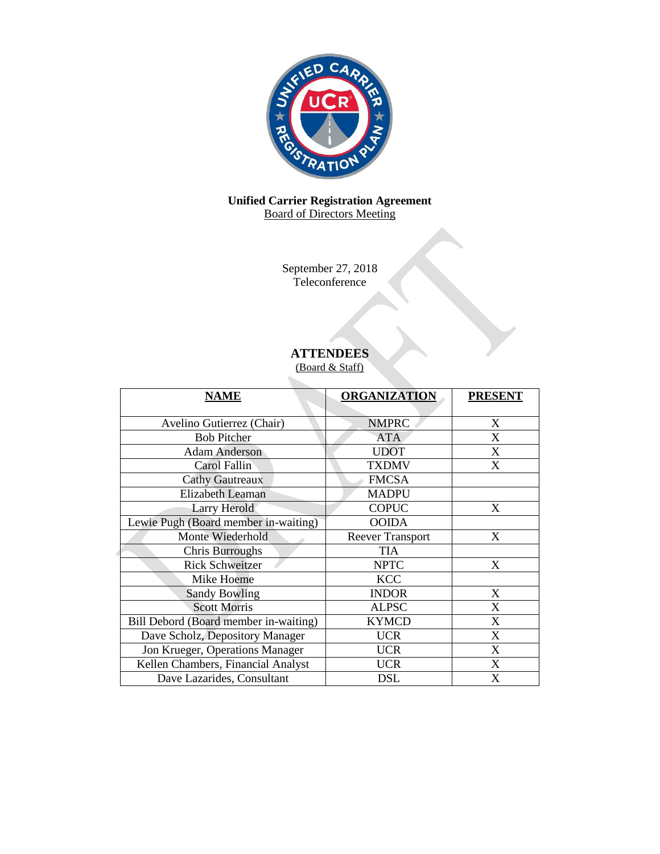

## **Unified Carrier Registration Agreement** Board of Directors Meeting

September 27, 2018 Teleconference

# **ATTENDEES**

(Board & Staff)

| <b>NAME</b>                           | <b>ORGANIZATION</b>     | <b>PRESENT</b> |
|---------------------------------------|-------------------------|----------------|
|                                       |                         |                |
| Avelino Gutierrez (Chair)             | <b>NMPRC</b>            | X              |
| <b>Bob Pitcher</b>                    | <b>ATA</b>              | X              |
| <b>Adam Anderson</b>                  | <b>UDOT</b>             | X              |
| Carol Fallin                          | <b>TXDMV</b>            | X              |
| <b>Cathy Gautreaux</b>                | <b>FMCSA</b>            |                |
| <b>Elizabeth Leaman</b>               | <b>MADPU</b>            |                |
| Larry Herold                          | <b>COPUC</b>            | X              |
| Lewie Pugh (Board member in-waiting)  | <b>OOIDA</b>            |                |
| Monte Wiederhold                      | <b>Reever Transport</b> | X              |
| <b>Chris Burroughs</b>                | <b>TIA</b>              |                |
| <b>Rick Schweitzer</b>                | <b>NPTC</b>             | X              |
| Mike Hoeme                            | <b>KCC</b>              |                |
| <b>Sandy Bowling</b>                  | <b>INDOR</b>            | X              |
| <b>Scott Morris</b>                   | <b>ALPSC</b>            | X              |
| Bill Debord (Board member in-waiting) | <b>KYMCD</b>            | X              |
| Dave Scholz, Depository Manager       | <b>UCR</b>              | X              |
| Jon Krueger, Operations Manager       | <b>UCR</b>              | X              |
| Kellen Chambers, Financial Analyst    | <b>UCR</b>              | X              |
| Dave Lazarides, Consultant            | DSL                     | X              |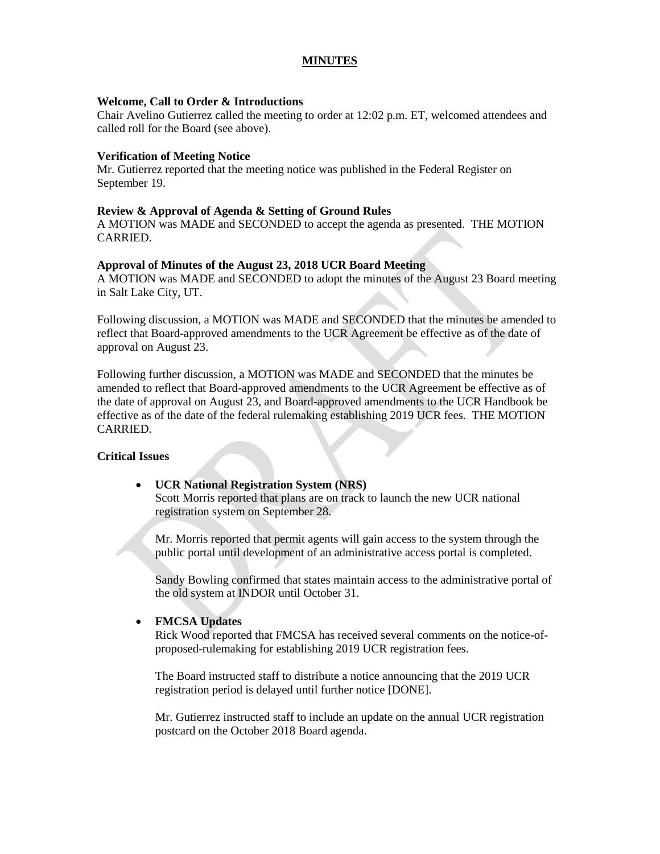## **MINUTES**

#### **Welcome, Call to Order & Introductions**

Chair Avelino Gutierrez called the meeting to order at 12:02 p.m. ET, welcomed attendees and called roll for the Board (see above).

#### **Verification of Meeting Notice**

Mr. Gutierrez reported that the meeting notice was published in the Federal Register on September 19.

#### **Review & Approval of Agenda & Setting of Ground Rules**

A MOTION was MADE and SECONDED to accept the agenda as presented. THE MOTION CARRIED.

#### **Approval of Minutes of the August 23, 2018 UCR Board Meeting**

A MOTION was MADE and SECONDED to adopt the minutes of the August 23 Board meeting in Salt Lake City, UT.

Following discussion, a MOTION was MADE and SECONDED that the minutes be amended to reflect that Board-approved amendments to the UCR Agreement be effective as of the date of approval on August 23.

Following further discussion, a MOTION was MADE and SECONDED that the minutes be amended to reflect that Board-approved amendments to the UCR Agreement be effective as of the date of approval on August 23, and Board-approved amendments to the UCR Handbook be effective as of the date of the federal rulemaking establishing 2019 UCR fees. THE MOTION CARRIED.

#### **Critical Issues**

 **UCR National Registration System (NRS)**  Scott Morris reported that plans are on track to launch the new UCR national registration system on September 28.

Mr. Morris reported that permit agents will gain access to the system through the public portal until development of an administrative access portal is completed.

Sandy Bowling confirmed that states maintain access to the administrative portal of the old system at INDOR until October 31.

#### **FMCSA Updates**

Rick Wood reported that FMCSA has received several comments on the notice-ofproposed-rulemaking for establishing 2019 UCR registration fees.

The Board instructed staff to distribute a notice announcing that the 2019 UCR registration period is delayed until further notice [DONE].

Mr. Gutierrez instructed staff to include an update on the annual UCR registration postcard on the October 2018 Board agenda.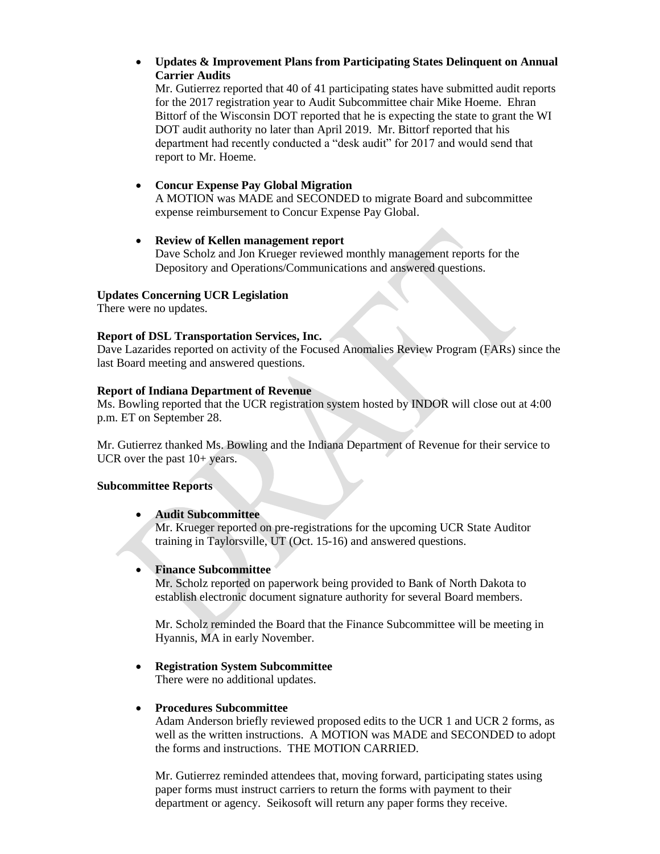**Updates & Improvement Plans from Participating States Delinquent on Annual Carrier Audits**

Mr. Gutierrez reported that 40 of 41 participating states have submitted audit reports for the 2017 registration year to Audit Subcommittee chair Mike Hoeme. Ehran Bittorf of the Wisconsin DOT reported that he is expecting the state to grant the WI DOT audit authority no later than April 2019. Mr. Bittorf reported that his department had recently conducted a "desk audit" for 2017 and would send that report to Mr. Hoeme.

## **Concur Expense Pay Global Migration**

A MOTION was MADE and SECONDED to migrate Board and subcommittee expense reimbursement to Concur Expense Pay Global.

 **Review of Kellen management report** Dave Scholz and Jon Krueger reviewed monthly management reports for the Depository and Operations/Communications and answered questions.

# **Updates Concerning UCR Legislation**

There were no updates.

#### **Report of DSL Transportation Services, Inc.**

Dave Lazarides reported on activity of the Focused Anomalies Review Program (FARs) since the last Board meeting and answered questions.

## **Report of Indiana Department of Revenue**

Ms. Bowling reported that the UCR registration system hosted by INDOR will close out at 4:00 p.m. ET on September 28.

Mr. Gutierrez thanked Ms. Bowling and the Indiana Department of Revenue for their service to UCR over the past  $10+$  years.

## **Subcommittee Reports**

## **Audit Subcommittee**

Mr. Krueger reported on pre-registrations for the upcoming UCR State Auditor training in Taylorsville, UT (Oct. 15-16) and answered questions.

## **Finance Subcommittee**

Mr. Scholz reported on paperwork being provided to Bank of North Dakota to establish electronic document signature authority for several Board members.

Mr. Scholz reminded the Board that the Finance Subcommittee will be meeting in Hyannis, MA in early November.

## **Registration System Subcommittee**

There were no additional updates.

## **Procedures Subcommittee**

Adam Anderson briefly reviewed proposed edits to the UCR 1 and UCR 2 forms, as well as the written instructions. A MOTION was MADE and SECONDED to adopt the forms and instructions. THE MOTION CARRIED.

Mr. Gutierrez reminded attendees that, moving forward, participating states using paper forms must instruct carriers to return the forms with payment to their department or agency. Seikosoft will return any paper forms they receive.